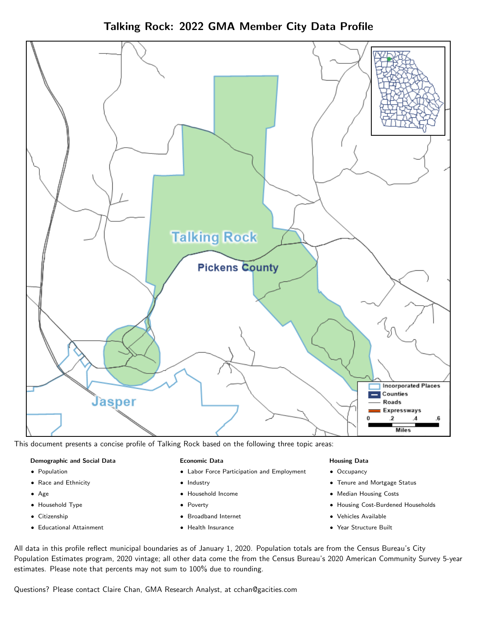Talking Rock: 2022 GMA Member City Data Profile



This document presents a concise profile of Talking Rock based on the following three topic areas:

# Demographic and Social Data

- **•** Population
- Race and Ethnicity
- Age
- Household Type
- **Citizenship**
- Educational Attainment

# Economic Data

- Labor Force Participation and Employment
- Industry
- Household Income
- Poverty
- Broadband Internet
- Health Insurance

# Housing Data

- Occupancy
- Tenure and Mortgage Status
- Median Housing Costs
- Housing Cost-Burdened Households
- Vehicles Available
- $\bullet$ Year Structure Built

All data in this profile reflect municipal boundaries as of January 1, 2020. Population totals are from the Census Bureau's City Population Estimates program, 2020 vintage; all other data come the from the Census Bureau's 2020 American Community Survey 5-year estimates. Please note that percents may not sum to 100% due to rounding.

Questions? Please contact Claire Chan, GMA Research Analyst, at [cchan@gacities.com.](mailto:cchan@gacities.com)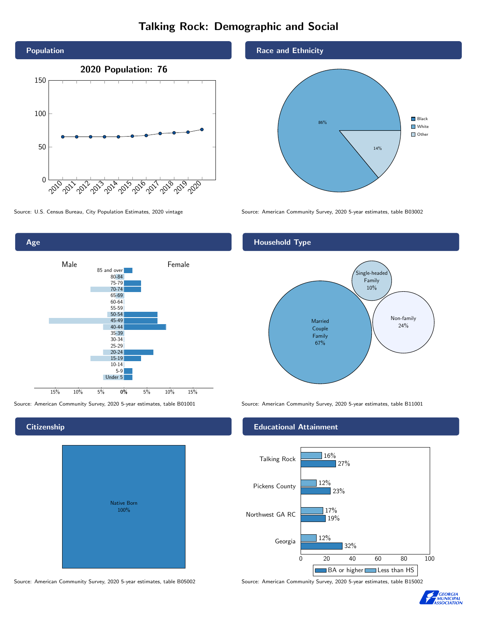# Talking Rock: Demographic and Social



Age

**Citizenship** 

0% 5% 10% 15% Male **Female** 15% 10% 5% 85 and over 80-84 75-79 70-74 65-69 60-64 55-59 50-54 45-49 40-44 35-39 30-34 25-29 20-24 15-19 10-14 5-9 Under 5

# Native Born 100%

# Race and Ethnicity



Source: U.S. Census Bureau, City Population Estimates, 2020 vintage Source: American Community Survey, 2020 5-year estimates, table B03002

# Household Type



Source: American Community Survey, 2020 5-year estimates, table B01001 Source: American Community Survey, 2020 5-year estimates, table B11001

# Educational Attainment



Source: American Community Survey, 2020 5-year estimates, table B05002 Source: American Community Survey, 2020 5-year estimates, table B15002

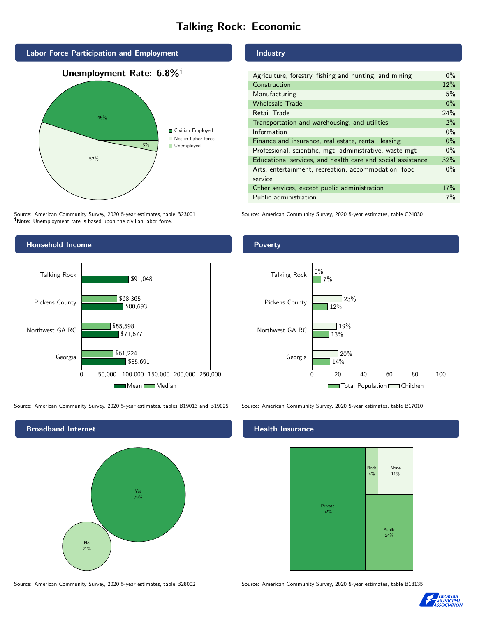# Talking Rock: Economic



Source: American Community Survey, 2020 5-year estimates, table B23001 Note: Unemployment rate is based upon the civilian labor force.



Source: American Community Survey, 2020 5-year estimates, tables B19013 and B19025 Source: American Community Survey, 2020 5-year estimates, table B17010



Source: American Community Survey, 2020 5-year estimates, table B28002 Source: American Community Survey, 2020 5-year estimates, table B18135

# Industry

| Agriculture, forestry, fishing and hunting, and mining      | $0\%$ |
|-------------------------------------------------------------|-------|
| Construction                                                | 12%   |
| Manufacturing                                               | 5%    |
| <b>Wholesale Trade</b>                                      | $0\%$ |
| Retail Trade                                                | 24%   |
| Transportation and warehousing, and utilities               | 2%    |
| Information                                                 | $0\%$ |
| Finance and insurance, real estate, rental, leasing         | $0\%$ |
| Professional, scientific, mgt, administrative, waste mgt    | $0\%$ |
| Educational services, and health care and social assistance | 32%   |
| Arts, entertainment, recreation, accommodation, food        | $0\%$ |
| service                                                     |       |
| Other services, except public administration                | 17%   |
| Public administration                                       | 7%    |

Source: American Community Survey, 2020 5-year estimates, table C24030

# Poverty



# Health Insurance